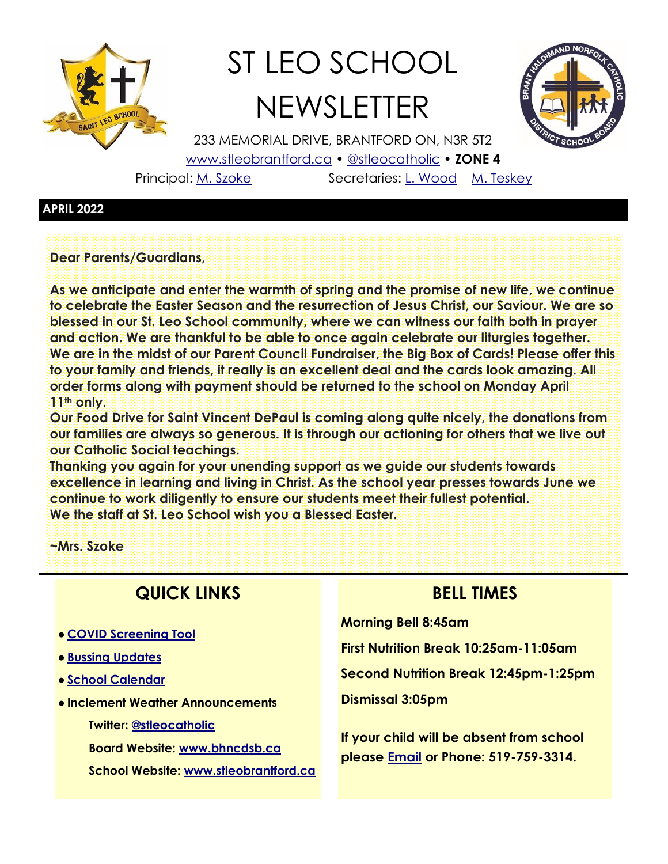

# ST LEO SCHOOL **NEWSLETTER**



233 MEMORIAL DRIVE, BRANTFORD ON, N3R 5T2 [www.stleobrantford.ca](http://www.stleobrantford.ca) • [@stleocatholic](https://twitter.com/stleocatholic) • **ZONE 4** Principal: [M. Szoke](mailto:mszoke@bhncdsb.ca) Secretaries: [L. Wood](mailto:lwood@bhncdsb.ca) [M. Teskey](mailto:mteskey@bhncdsb.ca)

#### **APRIL 2022**

**Dear Parents/Guardians,**

**As we anticipate and enter the warmth of spring and the promise of new life, we continue to celebrate the Easter Season and the resurrection of Jesus Christ, our Saviour. We are so blessed in our St. Leo School community, where we can witness our faith both in prayer and action. We are thankful to be able to once again celebrate our liturgies together. We are in the midst of our Parent Council Fundraiser, the Big Box of Cards! Please offer this to your family and friends, it really is an excellent deal and the cards look amazing. All order forms along with payment should be returned to the school on Monday April 11th only.**

**Our Food Drive for Saint Vincent DePaul is coming along quite nicely, the donations from our families are always so generous. It is through our actioning for others that we live out our Catholic Social teachings.**

**Thanking you again for your unending support as we guide our students towards excellence in learning and living in Christ. As the school year presses towards June we continue to work diligently to ensure our students meet their fullest potential. We the staff at St. Leo School wish you a Blessed Easter.**

**~Mrs. Szoke**

## **QUICK LINKS**

- **[COVID Screening Tool](https://covid-19.ontario.ca/school-screening/)**
- **[Bussing Updates](http://www.stsbhn.ca/)**
- **[School Calendar](http://www.stleobrantford.ca/events-calendar)**
- **Inclement Weather Announcements**

**Twitter: [@stleocatholic](https://twitter.com/stleocatholic)**

**Board Website: [www.bhncdsb.ca](http://www.bhncdsb.ca/)**

**School Website: [www.stleobrantford.ca](http://www.stleobrantford.ca)**

### **BELL TIMES**

**Morning Bell 8:45am**

**First Nutrition Break 10:25am-11:05am**

**Second Nutrition Break 12:45pm-1:25pm**

**Dismissal 3:05pm**

**If your child will be absent from school please [Email](mailto:lwood@bhncdsb.ca,%20mteskey@bhncdsb.ca?subject=Attendance) or Phone: 519-759-3314.**